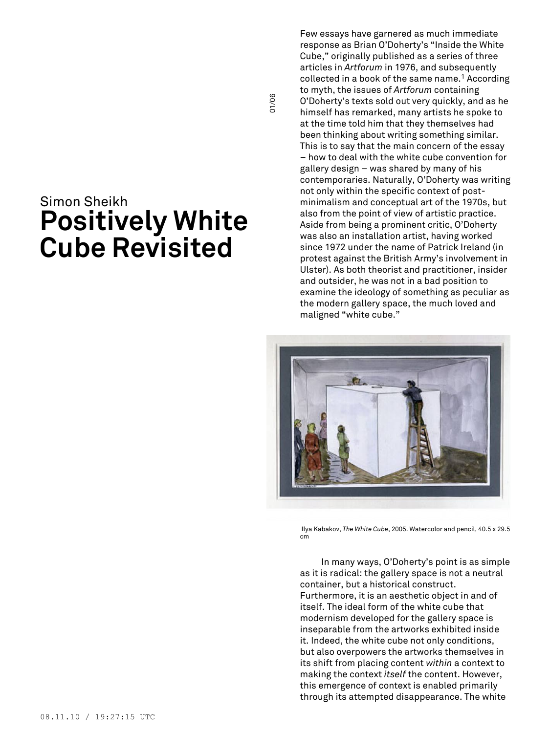# Simon Sheikh **Positively White Cube Revisited**

Few essays have garnered as much immediate response as Brian O'Doherty's "Inside the White Cube," originally published as a series of three articles in *Artforum* in 1976, and subsequently collected in a book of the same name. <sup>1</sup> According to myth, the issues of *Artforum* containing O'Doherty's texts sold out very quickly, and as he himself has remarked, many artists he spoke to at the time told him that they themselves had been thinking about writing something similar. This is to say that the main concern of the essay – how to deal with the white cube convention for gallery design – was shared by many of his contemporaries. Naturally, O'Doherty was writing not only within the specific context of postminimalism and conceptual art of the 1970s, but also from the point of view of artistic practice. Aside from being a prominent critic, O'Doherty was also an installation artist, having worked since 1972 under the name of Patrick Ireland (in protest against the British Army's involvement in Ulster). As both theorist and practitioner, insider and outsider, he was not in a bad position to examine the ideology of something as peculiar as the modern gallery space, the much loved and maligned "white cube."

01/06



Ilya Kabakov, *The White Cube*, 2005. Watercolor and pencil, 40.5 x 29.5 cm

In many ways, O'Doherty's point is as simple as it is radical: the gallery space is not a neutral container, but a historical construct. Furthermore, it is an aesthetic object in and of itself. The ideal form of the white cube that modernism developed for the gallery space is inseparable from the artworks exhibited inside it. Indeed, the white cube not only conditions, but also overpowers the artworks themselves in its shift from placing content *within* a context to making the context *itself* the content. However, this emergence of context is enabled primarily through its attempted disappearance. The white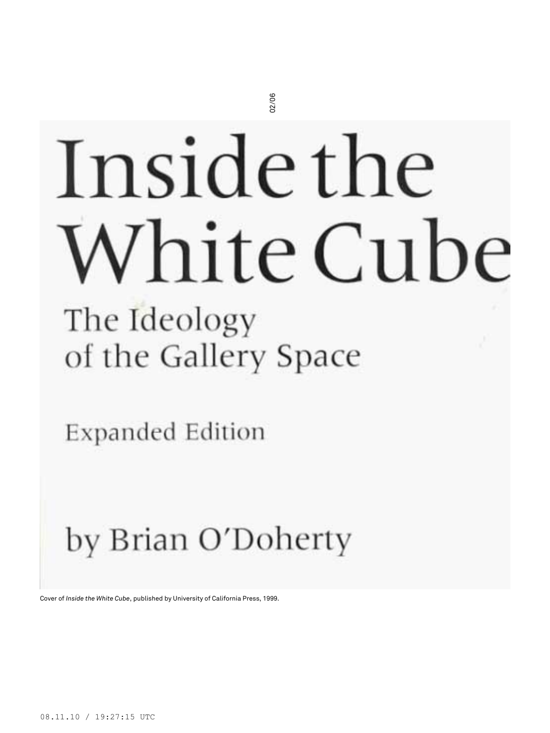# Inside the<br>
White Cube<br>
The *Ideology*<br>
of the Gallery Space<br>
Expanded Edition<br>
by Brian O'Doherty

08.11.10 / 19:27:15 UTC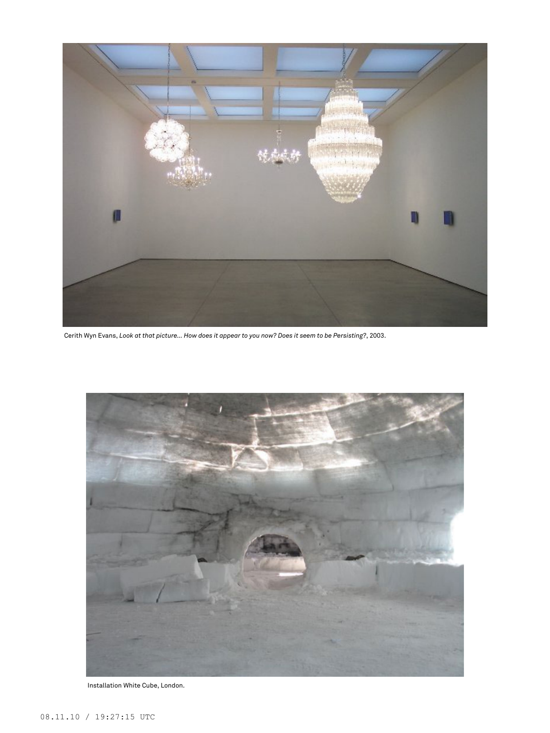

Cerith Wyn Evans, Look at that picture... How does it appear to you now? Does it seem to be Persisting?, 2003.



Installation White Cube, London.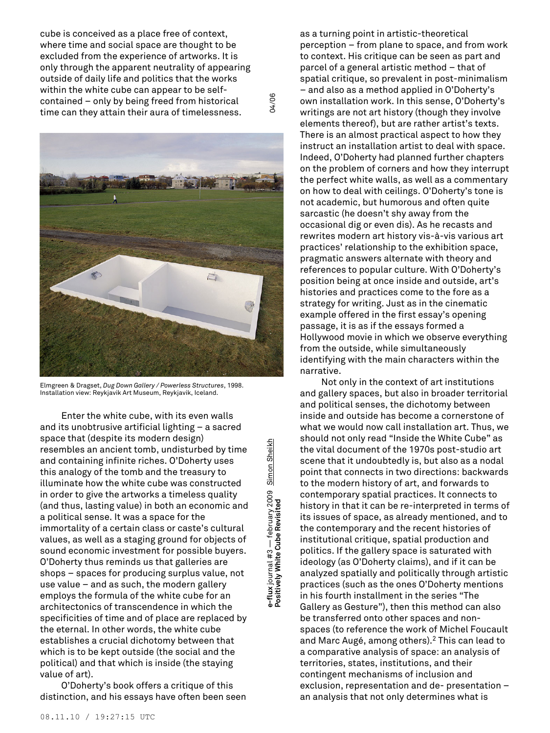cube is conceived as a place free of context, where time and social space are thought to be excluded from the experience of artworks. It is only through the apparent neutrality of appearing outside of daily life and politics that the works within the white cube can appear to be selfcontained – only by being freed from historical time can they attain their aura of timelessness.

04/06



Elmgreen & Dragset, *Dug Down Gallery / Powerless Structures*, 1998. Installation view: Reykjavik Art Museum, Reykjavik, Iceland.

Enter the white cube, with its even walls and its unobtrusive artificial lighting – a sacred space that (despite its modern design) resembles an ancient tomb, undisturbed by time and containing infinite riches. O'Doherty uses this analogy of the tomb and the treasury to illuminate how the white cube was constructed in order to give the artworks a timeless quality (and thus, lasting value) in both an economic and a political sense. It was a space for the immortality of a certain class or caste's cultural values, as well as a staging ground for objects of sound economic investment for possible buyers. O'Doherty thus reminds us that galleries are shops – spaces for producing surplus value, not use value – and as such, the modern gallery employs the formula of the white cube for an architectonics of transcendence in which the specificities of time and of place are replaced by the eternal. In other words, the white cube establishes a crucial dichotomy between that which is to be kept outside (the social and the political) and that which is inside (the staying value of art).

O'Doherty's book offers a critique of this distinction, and his essays have often been seen Simon Sheikh **e-flux** journal #3 — february 2009 Simon Sheikh e-flux journal #3 — february 2009<br>Positively White Cube Revisited

as a turning point in artistic-theoretical perception – from plane to space, and from work to context. His critique can be seen as part and parcel of a general artistic method – that of spatial critique, so prevalent in post-minimalism – and also as a method applied in O'Doherty's own installation work. In this sense, O'Doherty's writings are not art history (though they involve elements thereof), but are rather artist's texts. There is an almost practical aspect to how they instruct an installation artist to deal with space. Indeed, O'Doherty had planned further chapters on the problem of corners and how they interrupt the perfect white walls, as well as a commentary on how to deal with ceilings. O'Doherty's tone is not academic, but humorous and often quite sarcastic (he doesn't shy away from the occasional dig or even dis). As he recasts and rewrites modern art history vis-à-vis various art practices' relationship to the exhibition space, pragmatic answers alternate with theory and references to popular culture. With O'Doherty's position being at once inside and outside, art's histories and practices come to the fore as a strategy for writing. Just as in the cinematic example offered in the first essay's opening passage, it is as if the essays formed a Hollywood movie in which we observe everything from the outside, while simultaneously identifying with the main characters within the narrative.

Not only in the context of art institutions and gallery spaces, but also in broader territorial and political senses, the dichotomy between inside and outside has become a cornerstone of what we would now call installation art. Thus, we should not only read "Inside the White Cube" as the vital document of the 1970s post-studio art scene that it undoubtedly is, but also as a nodal point that connects in two directions: backwards to the modern history of art, and forwards to contemporary spatial practices. It connects to history in that it can be re-interpreted in terms of its issues of space, as already mentioned, and to the contemporary and the recent histories of institutional critique, spatial production and politics. If the gallery space is saturated with ideology (as O'Doherty claims), and if it can be analyzed spatially and politically through artistic practices (such as the ones O'Doherty mentions in his fourth installment in the series "The Gallery as Gesture"), then this method can also be transferred onto other spaces and nonspaces (to reference the work of Michel Foucault and Marc Augé, among others). <sup>2</sup> This can lead to a comparative analysis of space: an analysis of territories, states, institutions, and their contingent mechanisms of inclusion and exclusion, representation and de- presentation – an analysis that not only determines what is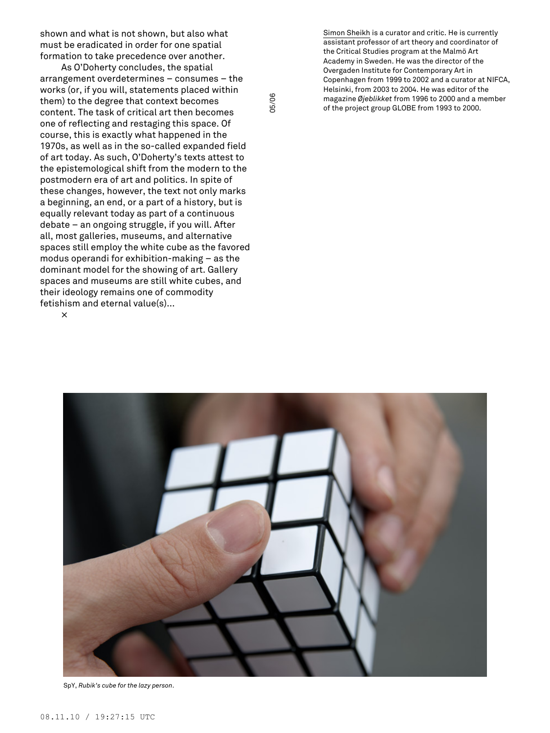shown and what is not shown, but also what must be eradicated in order for one spatial formation to take precedence over another.

As O'Doherty concludes, the spatial arrangement overdetermines – consumes – the works (or, if you will, statements placed within them) to the degree that context becomes content. The task of critical art then becomes one of reflecting and restaging this space. Of course, this is exactly what happened in the 1970s, as well as in the so-called expanded field of art today. As such, O'Doherty's texts attest to the epistemological shift from the modern to the postmodern era of art and politics. In spite of these changes, however, the text not only marks a beginning, an end, or a part of a history, but is equally relevant today as part of a continuous debate – an ongoing struggle, if you will. After all, most galleries, museums, and alternative spaces still employ the white cube as the favored modus operandi for exhibition-making – as the dominant model for the showing of art. Gallery spaces and museums are still white cubes, and their ideology remains one of commodity fetishism and eternal value(s)...

×

Simon Sheikh is a curator and critic. He is currently assistant professor of art theory and coordinator of the Critical Studies program at the Malmö Art Academy in Sweden. He was the director of the Overgaden Institute for Contemporary Art in Copenhagen from 1999 to 2002 and a curator at NIFCA, Helsinki, from 2003 to 2004. He was editor of the magazine *Øjeblikket* from 1996 to 2000 and a member of the project group GLOBE from 1993 to 2000.



05/06

SpY, *Rubik's cube for the lazy person*.